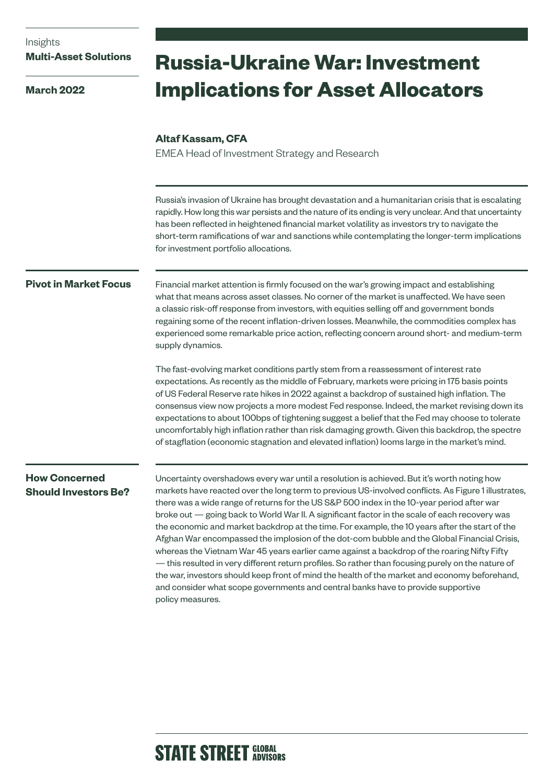## Insights **Multi-Asset Solutions**

**March 2022**

# **Russia-Ukraine War: Investment Implications for Asset Allocators**

#### **Altaf Kassam, CFA**

EMEA Head of Investment Strategy and Research

Russia's invasion of Ukraine has brought devastation and a humanitarian crisis that is escalating rapidly. How long this war persists and the nature of its ending is very unclear. And that uncertainty has been reflected in heightened financial market volatility as investors try to navigate the short-term ramifications of war and sanctions while contemplating the longer-term implications for investment portfolio allocations.

#### **Pivot in Market Focus**

Financial market attention is firmly focused on the war's growing impact and establishing what that means across asset classes. No corner of the market is unaffected. We have seen a classic risk-off response from investors, with equities selling off and government bonds regaining some of the recent inflation-driven losses. Meanwhile, the commodities complex has experienced some remarkable price action, reflecting concern around short- and medium-term supply dynamics.

The fast-evolving market conditions partly stem from a reassessment of interest rate expectations. As recently as the middle of February, markets were pricing in 175 basis points of US Federal Reserve rate hikes in 2022 against a backdrop of sustained high inflation. The consensus view now projects a more modest Fed response. Indeed, the market revising down its expectations to about 100bps of tightening suggest a belief that the Fed may choose to tolerate uncomfortably high inflation rather than risk damaging growth. Given this backdrop, the spectre of stagflation (economic stagnation and elevated inflation) looms large in the market's mind.

#### **How Concerned Should Investors Be?**

Uncertainty overshadows every war until a resolution is achieved. But it's worth noting how markets have reacted over the long term to previous US-involved conflicts. As Figure 1 illustrates, there was a wide range of returns for the US S&P 500 index in the 10-year period after war broke out — going back to World War II. A significant factor in the scale of each recovery was the economic and market backdrop at the time. For example, the 10 years after the start of the Afghan War encompassed the implosion of the dot-com bubble and the Global Financial Crisis, whereas the Vietnam War 45 years earlier came against a backdrop of the roaring Nifty Fifty — this resulted in very different return profiles. So rather than focusing purely on the nature of the war, investors should keep front of mind the health of the market and economy beforehand, and consider what scope governments and central banks have to provide supportive policy measures.

## **STATE STREET GLOBAL**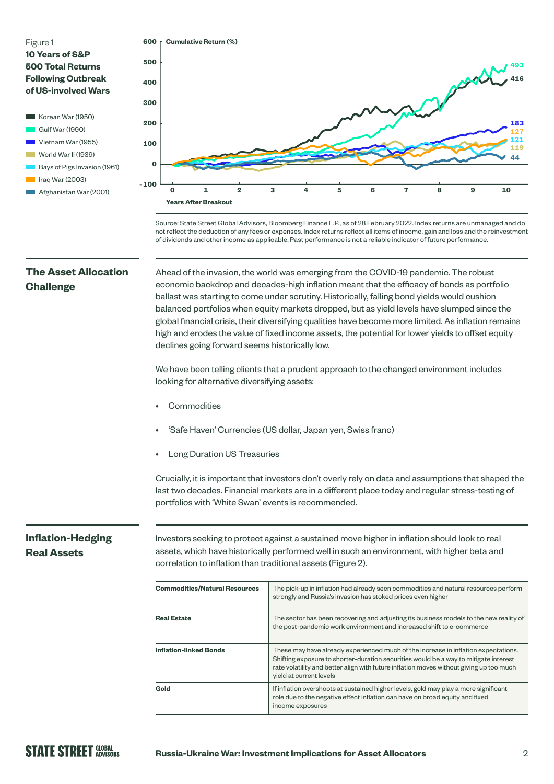

- 
- World War II (1939)
- Bays of Pigs Invasion (1961)
- $\blacksquare$  Iraq War (2003)
- **Afghanistan War (2001)**



Source: State Street Global Advisors, Bloomberg Finance L.P., as of 28 February 2022. Index returns are unmanaged and do not reflect the deduction of any fees or expenses. Index returns reflect all items of income, gain and loss and the reinvestment of dividends and other income as applicable. Past performance is not a reliable indicator of future performance.

#### **The Asset Allocation Challenge**

Ahead of the invasion, the world was emerging from the COVID-19 pandemic. The robust economic backdrop and decades-high inflation meant that the efficacy of bonds as portfolio ballast was starting to come under scrutiny. Historically, falling bond yields would cushion balanced portfolios when equity markets dropped, but as yield levels have slumped since the global financial crisis, their diversifying qualities have become more limited. As inflation remains high and erodes the value of fixed income assets, the potential for lower yields to offset equity declines going forward seems historically low.

We have been telling clients that a prudent approach to the changed environment includes looking for alternative diversifying assets:

- **Commodities**
- 'Safe Haven' Currencies (US dollar, Japan yen, Swiss franc)
- Long Duration US Treasuries

Crucially, it is important that investors don't overly rely on data and assumptions that shaped the last two decades. Financial markets are in a different place today and regular stress-testing of portfolios with 'White Swan' events is recommended.

#### **Inflation-Hedging Real Assets**

Investors seeking to protect against a sustained move higher in inflation should look to real assets, which have historically performed well in such an environment, with higher beta and correlation to inflation than traditional assets (Figure 2).

| <b>Commodities/Natural Resources</b> | The pick-up in inflation had already seen commodities and natural resources perform<br>strongly and Russia's invasion has stoked prices even higher                                                                                                                                              |
|--------------------------------------|--------------------------------------------------------------------------------------------------------------------------------------------------------------------------------------------------------------------------------------------------------------------------------------------------|
| <b>Real Estate</b>                   | The sector has been recovering and adjusting its business models to the new reality of<br>the post-pandemic work environment and increased shift to e-commerce                                                                                                                                   |
| <b>Inflation-linked Bonds</b>        | These may have already experienced much of the increase in inflation expectations.<br>Shifting exposure to shorter-duration securities would be a way to mitigate interest<br>rate volatility and better align with future inflation moves without giving up too much<br>yield at current levels |
| Gold                                 | If inflation overshoots at sustained higher levels, gold may play a more significant<br>role due to the negative effect inflation can have on broad equity and fixed<br>income exposures                                                                                                         |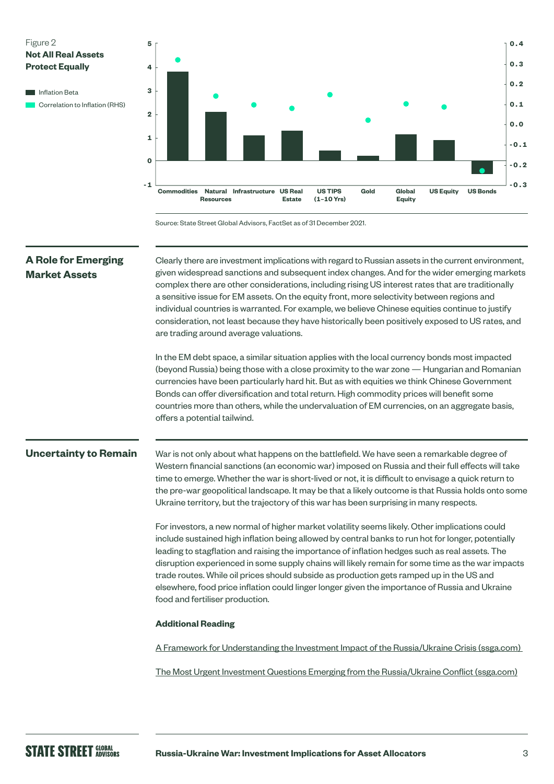

Source: State Street Global Advisors, FactSet as of 31 December 2021.

## **A Role for Emerging Market Assets Uncertainty to Remain** Clearly there are investment implications with regard to Russian assets in the current environment, given widespread sanctions and subsequent index changes. And for the wider emerging markets complex there are other considerations, including rising US interest rates that are traditionally a sensitive issue for EM assets. On the equity front, more selectivity between regions and individual countries is warranted. For example, we believe Chinese equities continue to justify consideration, not least because they have historically been positively exposed to US rates, and are trading around average valuations. In the EM debt space, a similar situation applies with the local currency bonds most impacted (beyond Russia) being those with a close proximity to the war zone — Hungarian and Romanian currencies have been particularly hard hit. But as with equities we think Chinese Government Bonds can offer diversification and total return. High commodity prices will benefit some countries more than others, while the undervaluation of EM currencies, on an aggregate basis, offers a potential tailwind. War is not only about what happens on the battlefield. We have seen a remarkable degree of Western financial sanctions (an economic war) imposed on Russia and their full effects will take time to emerge. Whether the war is short-lived or not, it is difficult to envisage a quick return to the pre-war geopolitical landscape. It may be that a likely outcome is that Russia holds onto some Ukraine territory, but the trajectory of this war has been surprising in many respects. For investors, a new normal of higher market volatility seems likely. Other implications could include sustained high inflation being allowed by central banks to run hot for longer, potentially leading to stagflation and raising the importance of inflation hedges such as real assets. The disruption experienced in some supply chains will likely remain for some time as the war impacts trade routes. While oil prices should subside as production gets ramped up in the US and elsewhere, food price inflation could linger longer given the importance of Russia and Ukraine food and fertiliser production. **Additional Reading** [A Framework for Understanding the Investment Impact of the Russia/Ukraine Crisis \(ssga.com\)](https://www.ssga.com/uk/en_gb/institutional/ic/insights/framework-for-understanding-the-investment-impact-of-russia-ukraine-crisis)  [The Most Urgent Investment Questions Emerging from the Russia/Ukraine Conflict \(ssga.com\)](https://www.ssga.com/uk/en_gb/institutional/ic/insights/questions-emerging-from-the-russia-ukraine-conflict)